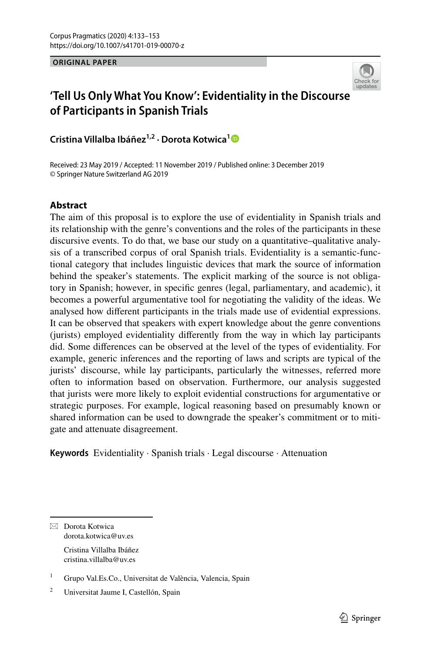### **ORIGINAL PAPER**



# **'Tell Us Only What You Know': Evidentiality in the Discourse of Participants in Spanish Trials**

**Cristina Villalba Ibáñez1,2 · Dorota Kotwica[1](http://orcid.org/0000-0003-0728-4600)**

Received: 23 May 2019 / Accepted: 11 November 2019 / Published online: 3 December 2019 © Springer Nature Switzerland AG 2019

### **Abstract**

The aim of this proposal is to explore the use of evidentiality in Spanish trials and its relationship with the genre's conventions and the roles of the participants in these discursive events. To do that, we base our study on a quantitative–qualitative analysis of a transcribed corpus of oral Spanish trials. Evidentiality is a semantic-functional category that includes linguistic devices that mark the source of information behind the speaker's statements. The explicit marking of the source is not obligatory in Spanish; however, in specifc genres (legal, parliamentary, and academic), it becomes a powerful argumentative tool for negotiating the validity of the ideas. We analysed how diferent participants in the trials made use of evidential expressions. It can be observed that speakers with expert knowledge about the genre conventions (jurists) employed evidentiality diferently from the way in which lay participants did. Some diferences can be observed at the level of the types of evidentiality. For example, generic inferences and the reporting of laws and scripts are typical of the jurists' discourse, while lay participants, particularly the witnesses, referred more often to information based on observation. Furthermore, our analysis suggested that jurists were more likely to exploit evidential constructions for argumentative or strategic purposes. For example, logical reasoning based on presumably known or shared information can be used to downgrade the speaker's commitment or to mitigate and attenuate disagreement.

**Keywords** Evidentiality · Spanish trials · Legal discourse · Attenuation

 $\boxtimes$  Dorota Kotwica dorota.kotwica@uv.es

Cristina Villalba Ibáñez cristina.villalba@uv.es

<sup>&</sup>lt;sup>1</sup> Grupo Val.Es.Co., Universitat de València, Valencia, Spain

<sup>2</sup> Universitat Jaume I, Castellón, Spain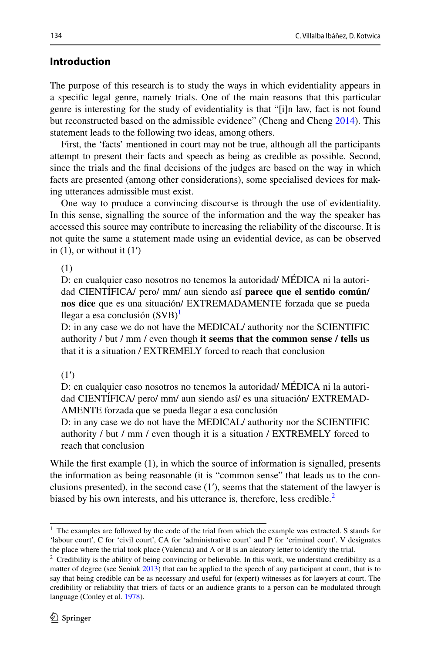# **Introduction**

The purpose of this research is to study the ways in which evidentiality appears in a specifc legal genre, namely trials. One of the main reasons that this particular genre is interesting for the study of evidentiality is that "[i]n law, fact is not found but reconstructed based on the admissible evidence" (Cheng and Cheng [2014](#page-19-0)). This statement leads to the following two ideas, among others.

First, the 'facts' mentioned in court may not be true, although all the participants attempt to present their facts and speech as being as credible as possible. Second, since the trials and the fnal decisions of the judges are based on the way in which facts are presented (among other considerations), some specialised devices for making utterances admissible must exist.

One way to produce a convincing discourse is through the use of evidentiality. In this sense, signalling the source of the information and the way the speaker has accessed this source may contribute to increasing the reliability of the discourse. It is not quite the same a statement made using an evidential device, as can be observed in  $(1)$ , or without it  $(1')$ 

(1)

D: en cualquier caso nosotros no tenemos la autoridad/ MÉDICA ni la autoridad CIENTÍFICA/ pero/ mm/ aun siendo así **parece que el sentido común/ nos dice** que es una situación/ EXTREMADAMENTE forzada que se pueda llegar a esa conclusión  $(SVB)^1$ 

D: in any case we do not have the MEDICAL/ authority nor the SCIENTIFIC authority / but / mm / even though **it seems that the common sense / tells us** that it is a situation / EXTREMELY forced to reach that conclusion

 $(1')$ 

D: en cualquier caso nosotros no tenemos la autoridad/MÉDICA ni la autoridad CIENTÍFICA/ pero/ mm/ aun siendo así/ es una situación/ EXTREMAD-AMENTE forzada que se pueda llegar a esa conclusión

D: in any case we do not have the MEDICAL/ authority nor the SCIENTIFIC authority / but / mm / even though it is a situation / EXTREMELY forced to reach that conclusion

While the first example  $(1)$ , in which the source of information is signalled, presents the information as being reasonable (it is "common sense" that leads us to the conclusions presented), in the second case (1′), seems that the statement of the lawyer is biased by his own interests, and his utterance is, therefore, less credible.<sup>[2](#page-1-1)</sup>

<span id="page-1-0"></span><sup>&</sup>lt;sup>1</sup> The examples are followed by the code of the trial from which the example was extracted. S stands for 'labour court', C for 'civil court', CA for 'administrative court' and P for 'criminal court'. V designates the place where the trial took place (Valencia) and A or B is an aleatory letter to identify the trial.

<span id="page-1-1"></span><sup>&</sup>lt;sup>2</sup> Credibility is the ability of being convincing or believable. In this work, we understand credibility as a matter of degree (see Seniuk [2013](#page-20-0)) that can be applied to the speech of any participant at court, that is to say that being credible can be as necessary and useful for (expert) witnesses as for lawyers at court. The credibility or reliability that triers of facts or an audience grants to a person can be modulated through language (Conley et al. [1978\)](#page-19-1).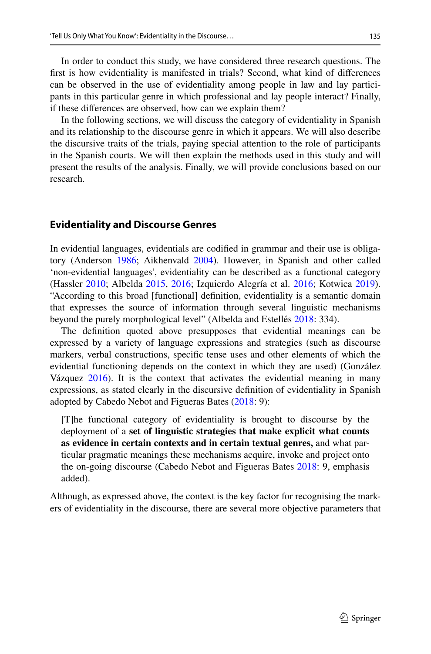In order to conduct this study, we have considered three research questions. The frst is how evidentiality is manifested in trials? Second, what kind of diferences can be observed in the use of evidentiality among people in law and lay participants in this particular genre in which professional and lay people interact? Finally, if these diferences are observed, how can we explain them?

In the following sections, we will discuss the category of evidentiality in Spanish and its relationship to the discourse genre in which it appears. We will also describe the discursive traits of the trials, paying special attention to the role of participants in the Spanish courts. We will then explain the methods used in this study and will present the results of the analysis. Finally, we will provide conclusions based on our research.

# **Evidentiality and Discourse Genres**

In evidential languages, evidentials are codifed in grammar and their use is obligatory (Anderson [1986](#page-19-2); Aikhenvald [2004\)](#page-19-3). However, in Spanish and other called 'non-evidential languages', evidentiality can be described as a functional category (Hassler [2010;](#page-20-1) Albelda [2015,](#page-19-4) [2016;](#page-19-5) Izquierdo Alegría et al. [2016](#page-20-2); Kotwica [2019\)](#page-20-3). "According to this broad [functional] defnition, evidentiality is a semantic domain that expresses the source of information through several linguistic mechanisms beyond the purely morphological level" (Albelda and Estellés [2018](#page-19-6): 334).

The defnition quoted above presupposes that evidential meanings can be expressed by a variety of language expressions and strategies (such as discourse markers, verbal constructions, specifc tense uses and other elements of which the evidential functioning depends on the context in which they are used) (González Vázquez [2016\)](#page-19-7). It is the context that activates the evidential meaning in many expressions, as stated clearly in the discursive defnition of evidentiality in Spanish adopted by Cabedo Nebot and Figueras Bates [\(2018](#page-19-8): 9):

[T]he functional category of evidentiality is brought to discourse by the deployment of a **set of linguistic strategies that make explicit what counts as evidence in certain contexts and in certain textual genres,** and what particular pragmatic meanings these mechanisms acquire, invoke and project onto the on-going discourse (Cabedo Nebot and Figueras Bates [2018](#page-19-8): 9, emphasis added).

Although, as expressed above, the context is the key factor for recognising the markers of evidentiality in the discourse, there are several more objective parameters that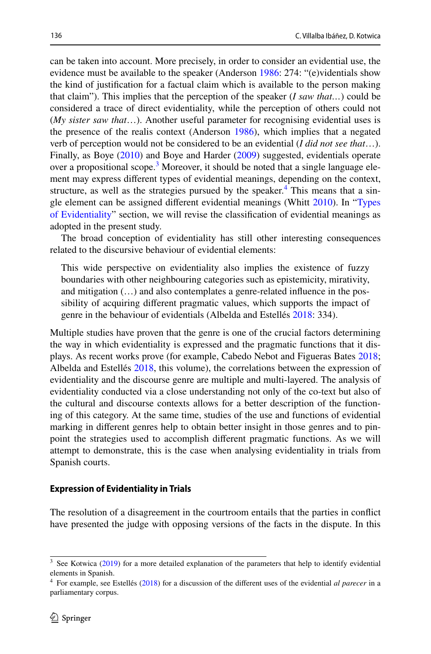can be taken into account. More precisely, in order to consider an evidential use, the evidence must be available to the speaker (Anderson [1986:](#page-19-2) 274: "(e)videntials show the kind of justifcation for a factual claim which is available to the person making that claim"). This implies that the perception of the speaker (*I saw that…*) could be considered a trace of direct evidentiality, while the perception of others could not (*My sister saw that*…). Another useful parameter for recognising evidential uses is the presence of the realis context (Anderson [1986](#page-19-2)), which implies that a negated verb of perception would not be considered to be an evidential (*I did not see that*…). Finally, as Boye ([2010\)](#page-19-9) and Boye and Harder ([2009\)](#page-19-10) suggested, evidentials operate over a propositional scope.<sup>[3](#page-3-0)</sup> Moreover, it should be noted that a single language element may express diferent types of evidential meanings, depending on the context, structure, as well as the strategies pursued by the speaker. $4$  This means that a sin-gle element can be assigned different evidential meanings (Whitt [2010](#page-20-4)). In ["Types](#page-6-0) [of Evidentiality"](#page-6-0) section, we will revise the classifcation of evidential meanings as adopted in the present study.

The broad conception of evidentiality has still other interesting consequences related to the discursive behaviour of evidential elements:

This wide perspective on evidentiality also implies the existence of fuzzy boundaries with other neighbouring categories such as epistemicity, mirativity, and mitigation (…) and also contemplates a genre-related infuence in the possibility of acquiring diferent pragmatic values, which supports the impact of genre in the behaviour of evidentials (Albelda and Estellés [2018:](#page-19-6) 334).

Multiple studies have proven that the genre is one of the crucial factors determining the way in which evidentiality is expressed and the pragmatic functions that it displays. As recent works prove (for example, Cabedo Nebot and Figueras Bates [2018;](#page-19-8) Albelda and Estellés [2018,](#page-19-6) this volume), the correlations between the expression of evidentiality and the discourse genre are multiple and multi-layered. The analysis of evidentiality conducted via a close understanding not only of the co-text but also of the cultural and discourse contexts allows for a better description of the functioning of this category. At the same time, studies of the use and functions of evidential marking in diferent genres help to obtain better insight in those genres and to pinpoint the strategies used to accomplish diferent pragmatic functions. As we will attempt to demonstrate, this is the case when analysing evidentiality in trials from Spanish courts.

### **Expression of Evidentiality in Trials**

The resolution of a disagreement in the courtroom entails that the parties in confict have presented the judge with opposing versions of the facts in the dispute. In this

<span id="page-3-0"></span><sup>&</sup>lt;sup>3</sup> See Kotwica [\(2019](#page-20-3)) for a more detailed explanation of the parameters that help to identify evidential elements in Spanish.

<span id="page-3-1"></span><sup>4</sup> For example, see Estellés ([2018\)](#page-19-11) for a discussion of the diferent uses of the evidential *al parecer* in a parliamentary corpus.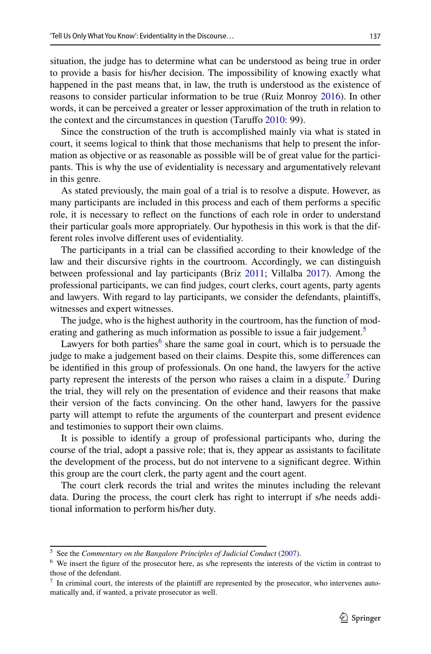situation, the judge has to determine what can be understood as being true in order to provide a basis for his/her decision. The impossibility of knowing exactly what happened in the past means that, in law, the truth is understood as the existence of reasons to consider particular information to be true (Ruiz Monroy [2016](#page-20-5)). In other words, it can be perceived a greater or lesser approximation of the truth in relation to the context and the circumstances in question (Tarufo [2010:](#page-20-6) 99).

Since the construction of the truth is accomplished mainly via what is stated in court, it seems logical to think that those mechanisms that help to present the information as objective or as reasonable as possible will be of great value for the participants. This is why the use of evidentiality is necessary and argumentatively relevant in this genre.

As stated previously, the main goal of a trial is to resolve a dispute. However, as many participants are included in this process and each of them performs a specifc role, it is necessary to refect on the functions of each role in order to understand their particular goals more appropriately. Our hypothesis in this work is that the different roles involve diferent uses of evidentiality.

The participants in a trial can be classifed according to their knowledge of the law and their discursive rights in the courtroom. Accordingly, we can distinguish between professional and lay participants (Briz [2011;](#page-19-12) Villalba [2017](#page-20-7)). Among the professional participants, we can fnd judges, court clerks, court agents, party agents and lawyers. With regard to lay participants, we consider the defendants, plaintifs, witnesses and expert witnesses.

The judge, who is the highest authority in the courtroom, has the function of moderating and gathering as much information as possible to issue a fair judgement.<sup>5</sup>

Lawyers for both parties<sup>[6](#page-4-1)</sup> share the same goal in court, which is to persuade the judge to make a judgement based on their claims. Despite this, some diferences can be identifed in this group of professionals. On one hand, the lawyers for the active party represent the interests of the person who raises a claim in a dispute.<sup>[7](#page-4-2)</sup> During the trial, they will rely on the presentation of evidence and their reasons that make their version of the facts convincing. On the other hand, lawyers for the passive party will attempt to refute the arguments of the counterpart and present evidence and testimonies to support their own claims.

It is possible to identify a group of professional participants who, during the course of the trial, adopt a passive role; that is, they appear as assistants to facilitate the development of the process, but do not intervene to a signifcant degree. Within this group are the court clerk, the party agent and the court agent.

The court clerk records the trial and writes the minutes including the relevant data. During the process, the court clerk has right to interrupt if s/he needs additional information to perform his/her duty.

<span id="page-4-0"></span><sup>5</sup> See the *Commentary on the Bangalore Principles of Judicial Conduct* ([2007\)](#page-20-8).

<span id="page-4-1"></span><sup>&</sup>lt;sup>6</sup> We insert the figure of the prosecutor here, as s/he represents the interests of the victim in contrast to those of the defendant.

<span id="page-4-2"></span> $<sup>7</sup>$  In criminal court, the interests of the plaintiff are represented by the prosecutor, who intervenes auto-</sup> matically and, if wanted, a private prosecutor as well.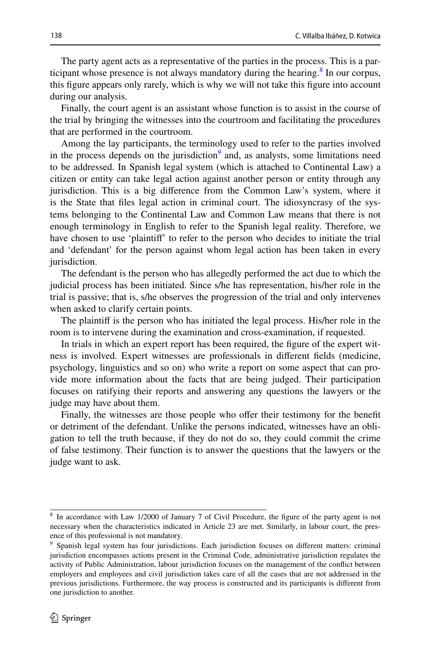The party agent acts as a representative of the parties in the process. This is a par-ticipant whose presence is not always mandatory during the hearing.<sup>[8](#page-5-0)</sup> In our corpus, this fgure appears only rarely, which is why we will not take this fgure into account during our analysis.

Finally, the court agent is an assistant whose function is to assist in the course of the trial by bringing the witnesses into the courtroom and facilitating the procedures that are performed in the courtroom.

Among the lay participants, the terminology used to refer to the parties involved in the process depends on the jurisdiction<sup>9</sup> and, as analysts, some limitations need to be addressed. In Spanish legal system (which is attached to Continental Law) a citizen or entity can take legal action against another person or entity through any jurisdiction. This is a big diference from the Common Law's system, where it is the State that fles legal action in criminal court. The idiosyncrasy of the systems belonging to the Continental Law and Common Law means that there is not enough terminology in English to refer to the Spanish legal reality. Therefore, we have chosen to use 'plaintif' to refer to the person who decides to initiate the trial and 'defendant' for the person against whom legal action has been taken in every jurisdiction.

The defendant is the person who has allegedly performed the act due to which the judicial process has been initiated. Since s/he has representation, his/her role in the trial is passive; that is, s/he observes the progression of the trial and only intervenes when asked to clarify certain points.

The plaintiff is the person who has initiated the legal process. His/her role in the room is to intervene during the examination and cross-examination, if requested.

In trials in which an expert report has been required, the fgure of the expert witness is involved. Expert witnesses are professionals in diferent felds (medicine, psychology, linguistics and so on) who write a report on some aspect that can provide more information about the facts that are being judged. Their participation focuses on ratifying their reports and answering any questions the lawyers or the judge may have about them.

Finally, the witnesses are those people who offer their testimony for the benefit or detriment of the defendant. Unlike the persons indicated, witnesses have an obligation to tell the truth because, if they do not do so, they could commit the crime of false testimony. Their function is to answer the questions that the lawyers or the judge want to ask.

<span id="page-5-0"></span><sup>&</sup>lt;sup>8</sup> In accordance with Law 1/2000 of January 7 of Civil Procedure, the figure of the party agent is not necessary when the characteristics indicated in Article 23 are met. Similarly, in labour court, the presence of this professional is not mandatory.

<span id="page-5-1"></span><sup>&</sup>lt;sup>9</sup> Spanish legal system has four jurisdictions. Each jurisdiction focuses on different matters: criminal jurisdiction encompasses actions present in the Criminal Code, administrative jurisdiction regulates the activity of Public Administration, labour jurisdiction focuses on the management of the confict between employers and employees and civil jurisdiction takes care of all the cases that are not addressed in the previous jurisdictions. Furthermore, the way process is constructed and its participants is diferent from one jurisdiction to another.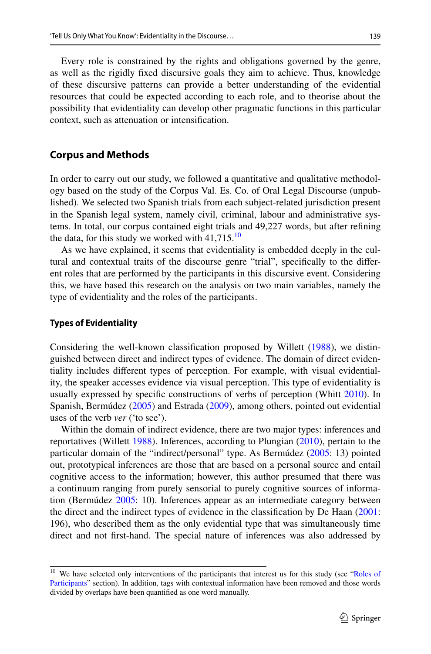Every role is constrained by the rights and obligations governed by the genre, as well as the rigidly fxed discursive goals they aim to achieve. Thus, knowledge of these discursive patterns can provide a better understanding of the evidential resources that could be expected according to each role, and to theorise about the possibility that evidentiality can develop other pragmatic functions in this particular context, such as attenuation or intensifcation.

# **Corpus and Methods**

In order to carry out our study, we followed a quantitative and qualitative methodology based on the study of the Corpus Val. Es. Co. of Oral Legal Discourse (unpublished). We selected two Spanish trials from each subject-related jurisdiction present in the Spanish legal system, namely civil, criminal, labour and administrative systems. In total, our corpus contained eight trials and 49,227 words, but after refning the data, for this study we worked with  $41,715$ .<sup>[10](#page-6-1)</sup>

As we have explained, it seems that evidentiality is embedded deeply in the cultural and contextual traits of the discourse genre "trial", specifcally to the diferent roles that are performed by the participants in this discursive event. Considering this, we have based this research on the analysis on two main variables, namely the type of evidentiality and the roles of the participants.

### <span id="page-6-0"></span>**Types of Evidentiality**

Considering the well-known classifcation proposed by Willett ([1988\)](#page-20-9), we distinguished between direct and indirect types of evidence. The domain of direct evidentiality includes diferent types of perception. For example, with visual evidentiality, the speaker accesses evidence via visual perception. This type of evidentiality is usually expressed by specifc constructions of verbs of perception (Whitt [2010](#page-20-4)). In Spanish, Bermúdez ([2005\)](#page-19-13) and Estrada ([2009\)](#page-19-14), among others, pointed out evidential uses of the verb *ver* ('to see').

Within the domain of indirect evidence, there are two major types: inferences and reportatives (Willett [1988](#page-20-9)). Inferences, according to Plungian ([2010\)](#page-20-10), pertain to the particular domain of the "indirect/personal" type. As Bermúdez [\(2005](#page-19-13): 13) pointed out, prototypical inferences are those that are based on a personal source and entail cognitive access to the information; however, this author presumed that there was a continuum ranging from purely sensorial to purely cognitive sources of information (Bermúdez [2005](#page-19-13): 10). Inferences appear as an intermediate category between the direct and the indirect types of evidence in the classifcation by De Haan ([2001:](#page-19-15) 196), who described them as the only evidential type that was simultaneously time direct and not frst-hand. The special nature of inferences was also addressed by

<span id="page-6-1"></span><sup>&</sup>lt;sup>10</sup> We have selected only interventions of the participants that interest us for this study (see "[Roles of](#page-7-0) [Participants"](#page-7-0) section). In addition, tags with contextual information have been removed and those words divided by overlaps have been quantifed as one word manually.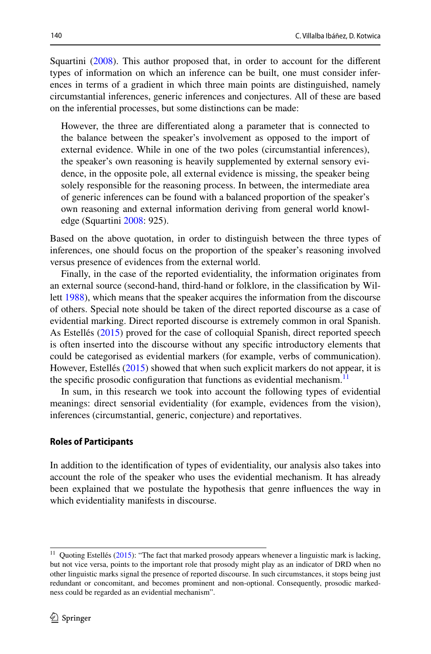Squartini [\(2008](#page-20-11)). This author proposed that, in order to account for the diferent types of information on which an inference can be built, one must consider inferences in terms of a gradient in which three main points are distinguished, namely circumstantial inferences, generic inferences and conjectures. All of these are based on the inferential processes, but some distinctions can be made:

However, the three are diferentiated along a parameter that is connected to the balance between the speaker's involvement as opposed to the import of external evidence. While in one of the two poles (circumstantial inferences), the speaker's own reasoning is heavily supplemented by external sensory evidence, in the opposite pole, all external evidence is missing, the speaker being solely responsible for the reasoning process. In between, the intermediate area of generic inferences can be found with a balanced proportion of the speaker's own reasoning and external information deriving from general world knowledge (Squartini [2008](#page-20-11): 925).

Based on the above quotation, in order to distinguish between the three types of inferences, one should focus on the proportion of the speaker's reasoning involved versus presence of evidences from the external world.

Finally, in the case of the reported evidentiality, the information originates from an external source (second-hand, third-hand or folklore, in the classifcation by Willett [1988](#page-20-9)), which means that the speaker acquires the information from the discourse of others. Special note should be taken of the direct reported discourse as a case of evidential marking. Direct reported discourse is extremely common in oral Spanish. As Estellés [\(2015](#page-19-16)) proved for the case of colloquial Spanish, direct reported speech is often inserted into the discourse without any specifc introductory elements that could be categorised as evidential markers (for example, verbs of communication). However, Estellés [\(2015](#page-19-16)) showed that when such explicit markers do not appear, it is the specific prosodic configuration that functions as evidential mechanism.<sup>[11](#page-7-1)</sup>

In sum, in this research we took into account the following types of evidential meanings: direct sensorial evidentiality (for example, evidences from the vision), inferences (circumstantial, generic, conjecture) and reportatives.

### <span id="page-7-0"></span>**Roles of Participants**

In addition to the identifcation of types of evidentiality, our analysis also takes into account the role of the speaker who uses the evidential mechanism. It has already been explained that we postulate the hypothesis that genre infuences the way in which evidentiality manifests in discourse.

<span id="page-7-1"></span> $11$  Quoting Estellés [\(2015](#page-19-16)): "The fact that marked prosody appears whenever a linguistic mark is lacking, but not vice versa, points to the important role that prosody might play as an indicator of DRD when no other linguistic marks signal the presence of reported discourse. In such circumstances, it stops being just redundant or concomitant, and becomes prominent and non-optional. Consequently, prosodic markedness could be regarded as an evidential mechanism".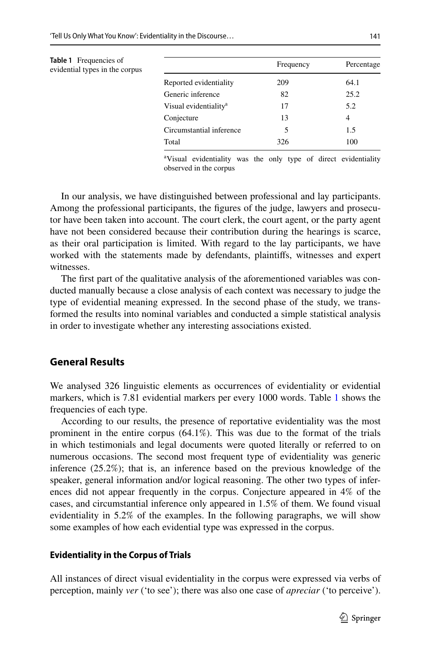<span id="page-8-0"></span>

| <b>Table 1</b> Frequencies of<br>evidential types in the corpus |                                   | Frequency | Percentage     |
|-----------------------------------------------------------------|-----------------------------------|-----------|----------------|
|                                                                 | Reported evidentiality            | 209       | 64.1           |
|                                                                 | Generic inference                 | 82        | 25.2           |
|                                                                 | Visual evidentiality <sup>a</sup> | 17        | 5.2            |
|                                                                 | Conjecture                        | 13        | $\overline{4}$ |
|                                                                 | Circumstantial inference          | 5         | 1.5            |
|                                                                 | Total                             | 326       | 100            |
|                                                                 |                                   |           |                |

a Visual evidentiality was the only type of direct evidentiality observed in the corpus

In our analysis, we have distinguished between professional and lay participants. Among the professional participants, the fgures of the judge, lawyers and prosecutor have been taken into account. The court clerk, the court agent, or the party agent have not been considered because their contribution during the hearings is scarce, as their oral participation is limited. With regard to the lay participants, we have worked with the statements made by defendants, plaintifs, witnesses and expert witnesses.

The frst part of the qualitative analysis of the aforementioned variables was conducted manually because a close analysis of each context was necessary to judge the type of evidential meaning expressed. In the second phase of the study, we transformed the results into nominal variables and conducted a simple statistical analysis in order to investigate whether any interesting associations existed.

# **General Results**

We analysed 326 linguistic elements as occurrences of evidentiality or evidential markers, which is 7.81 evidential markers per every 1000 words. Table [1](#page-8-0) shows the frequencies of each type.

According to our results, the presence of reportative evidentiality was the most prominent in the entire corpus (64.1%). This was due to the format of the trials in which testimonials and legal documents were quoted literally or referred to on numerous occasions. The second most frequent type of evidentiality was generic inference (25.2%); that is, an inference based on the previous knowledge of the speaker, general information and/or logical reasoning. The other two types of inferences did not appear frequently in the corpus. Conjecture appeared in 4% of the cases, and circumstantial inference only appeared in 1.5% of them. We found visual evidentiality in 5.2% of the examples. In the following paragraphs, we will show some examples of how each evidential type was expressed in the corpus.

#### <span id="page-8-1"></span>**Evidentiality in the Corpus of Trials**

All instances of direct visual evidentiality in the corpus were expressed via verbs of perception, mainly *ver* ('to see'); there was also one case of *apreciar* ('to perceive').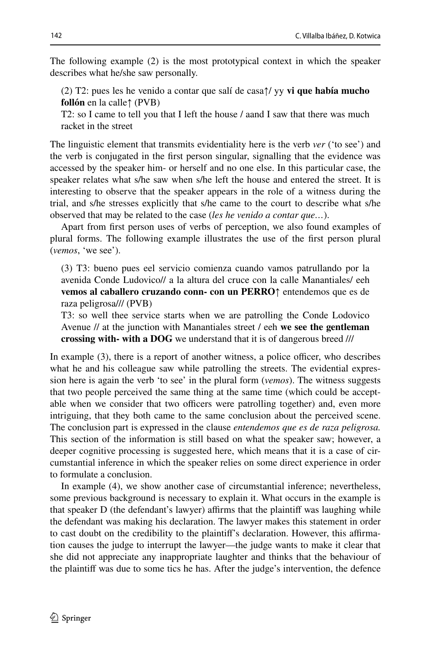The following example (2) is the most prototypical context in which the speaker describes what he/she saw personally.

(2) T2: pues les he venido a contar que salí de casa↑/ yy **vi que había mucho follón** en la calle↑ (PVB)

T2: so I came to tell you that I left the house / aand I saw that there was much racket in the street

The linguistic element that transmits evidentiality here is the verb *ver* ('to see') and the verb is conjugated in the frst person singular, signalling that the evidence was accessed by the speaker him- or herself and no one else. In this particular case, the speaker relates what s/he saw when s/he left the house and entered the street. It is interesting to observe that the speaker appears in the role of a witness during the trial, and s/he stresses explicitly that s/he came to the court to describe what s/he observed that may be related to the case (*les he venido a contar que…*).

Apart from frst person uses of verbs of perception, we also found examples of plural forms. The following example illustrates the use of the frst person plural (*vemos*, 'we see').

(3) T3: bueno pues eel servicio comienza cuando vamos patrullando por la avenida Conde Ludovico// a la altura del cruce con la calle Manantiales/ eeh **vemos al caballero cruzando conn- con un PERRO↑** entendemos que es de raza peligrosa/// (PVB)

T3: so well thee service starts when we are patrolling the Conde Lodovico Avenue // at the junction with Manantiales street / eeh **we see the gentleman crossing with- with a DOG** we understand that it is of dangerous breed ///

In example  $(3)$ , there is a report of another witness, a police officer, who describes what he and his colleague saw while patrolling the streets. The evidential expression here is again the verb 'to see' in the plural form (*vemos*). The witness suggests that two people perceived the same thing at the same time (which could be acceptable when we consider that two officers were patrolling together) and, even more intriguing, that they both came to the same conclusion about the perceived scene. The conclusion part is expressed in the clause *entendemos que es de raza peligrosa.* This section of the information is still based on what the speaker saw; however, a deeper cognitive processing is suggested here, which means that it is a case of circumstantial inference in which the speaker relies on some direct experience in order to formulate a conclusion.

In example (4), we show another case of circumstantial inference; nevertheless, some previous background is necessary to explain it. What occurs in the example is that speaker D (the defendant's lawyer) affirms that the plaintiff was laughing while the defendant was making his declaration. The lawyer makes this statement in order to cast doubt on the credibility to the plaintiff's declaration. However, this affirmation causes the judge to interrupt the lawyer—the judge wants to make it clear that she did not appreciate any inappropriate laughter and thinks that the behaviour of the plaintif was due to some tics he has. After the judge's intervention, the defence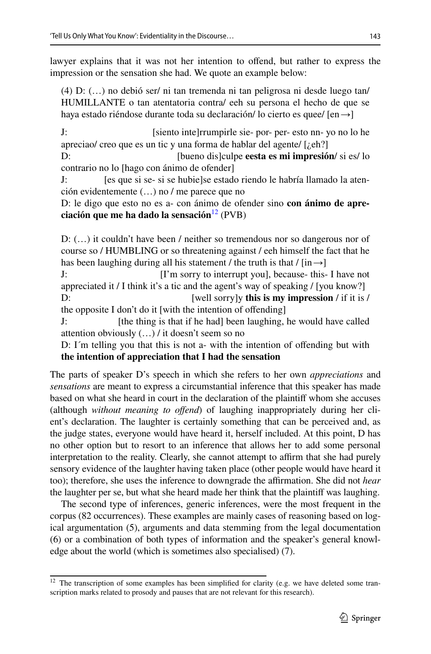lawyer explains that it was not her intention to ofend, but rather to express the impression or the sensation she had. We quote an example below:

(4) D: (…) no debió ser/ ni tan tremenda ni tan peligrosa ni desde luego tan/ HUMILLANTE o tan atentatoria contra/ eeh su persona el hecho de que se haya estado riéndose durante toda su declaración/ lo cierto es quee/  $[en \rightarrow]$ 

J: [siento inte]rrumpirle sie- por- per- esto nn- yo no lo he apreciao/ creo que es un tic y una forma de hablar del agente/ [¿eh?]

D: [bueno dis]culpe **eesta es mi impresión**/ si es/ lo contrario no lo [hago con ánimo de ofender]

J: [es que si se- si se hubie]se estado riendo le habría llamado la atención evidentemente (…) no / me parece que no

D: le digo que esto no es a- con ánimo de ofender sino **con ánimo de apreciación que me ha dado la sensación**[12](#page-10-0) (PVB)

D: (…) it couldn't have been / neither so tremendous nor so dangerous nor of course so / HUMBLING or so threatening against / eeh himself the fact that he has been laughing during all his statement / the truth is that /  $\lceil \text{in} \rightarrow \rceil$ 

J: I'm sorry to interrupt you], because- this- I have not appreciated it / I think it's a tic and the agent's way of speaking / [you know?] D: [well sorry]y **this is my impression** / if it is /

the opposite I don't do it [with the intention of ofending] J: [the thing is that if he had] been laughing, he would have called

attention obviously (…) / it doesn't seem so no

D: I´m telling you that this is not a- with the intention of ofending but with **the intention of appreciation that I had the sensation**

The parts of speaker D's speech in which she refers to her own *appreciations* and *sensations* are meant to express a circumstantial inference that this speaker has made based on what she heard in court in the declaration of the plaintif whom she accuses (although *without meaning to ofend*) of laughing inappropriately during her client's declaration. The laughter is certainly something that can be perceived and, as the judge states, everyone would have heard it, herself included. At this point, D has no other option but to resort to an inference that allows her to add some personal interpretation to the reality. Clearly, she cannot attempt to affirm that she had purely sensory evidence of the laughter having taken place (other people would have heard it too); therefore, she uses the inference to downgrade the afrmation. She did not *hear* the laughter per se, but what she heard made her think that the plaintiff was laughing.

The second type of inferences, generic inferences, were the most frequent in the corpus (82 occurrences). These examples are mainly cases of reasoning based on logical argumentation (5), arguments and data stemming from the legal documentation (6) or a combination of both types of information and the speaker's general knowledge about the world (which is sometimes also specialised) (7).

<span id="page-10-0"></span> $12$  The transcription of some examples has been simplified for clarity (e.g. we have deleted some transcription marks related to prosody and pauses that are not relevant for this research).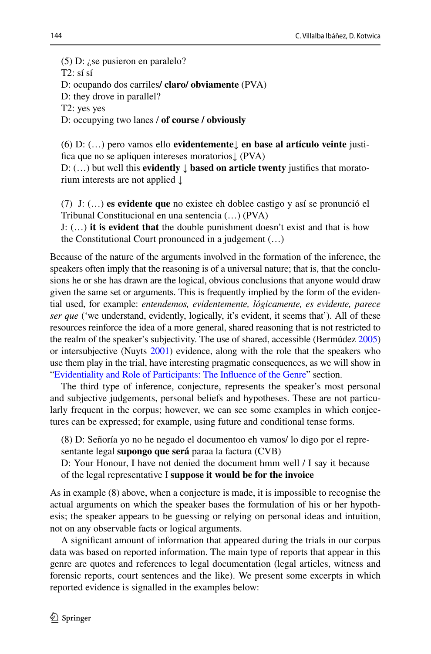(5) D: ¿se pusieron en paralelo? T2: sí sí D: ocupando dos carriles**/ claro/ obviamente** (PVA) D: they drove in parallel? T2: yes yes D: occupying two lanes / **of course / obviously**

(6) D: (…) pero vamos ello **evidentemente↓ en base al artículo veinte** justifca que no se apliquen intereses moratorios↓ (PVA)

D: (…) but well this **evidently ↓ based on article twenty** justifes that moratorium interests are not applied ↓

(7) J: (…) **es evidente que** no existee eh doblee castigo y así se pronunció el Tribunal Constitucional en una sentencia (…) (PVA)

J: (…) **it is evident that** the double punishment doesn't exist and that is how the Constitutional Court pronounced in a judgement (…)

Because of the nature of the arguments involved in the formation of the inference, the speakers often imply that the reasoning is of a universal nature; that is, that the conclusions he or she has drawn are the logical, obvious conclusions that anyone would draw given the same set or arguments. This is frequently implied by the form of the evidential used, for example: *entendemos, evidentemente, lógicamente, es evidente, parece ser que* ('we understand, evidently, logically, it's evident, it seems that'). All of these resources reinforce the idea of a more general, shared reasoning that is not restricted to the realm of the speaker's subjectivity. The use of shared, accessible (Bermúdez [2005](#page-19-13)) or intersubjective (Nuyts [2001\)](#page-20-12) evidence, along with the role that the speakers who use them play in the trial, have interesting pragmatic consequences, as we will show in ["Evidentiality and Role of Participants: The Infuence of the Genre](#page-14-0)" section.

The third type of inference, conjecture, represents the speaker's most personal and subjective judgements, personal beliefs and hypotheses. These are not particularly frequent in the corpus; however, we can see some examples in which conjectures can be expressed; for example, using future and conditional tense forms.

(8) D: Señoría yo no he negado el documentoo eh vamos/ lo digo por el representante legal **supongo que será** paraa la factura (CVB)

D: Your Honour, I have not denied the document hmm well / I say it because of the legal representative I **suppose it would be for the invoice**

As in example (8) above, when a conjecture is made, it is impossible to recognise the actual arguments on which the speaker bases the formulation of his or her hypothesis; the speaker appears to be guessing or relying on personal ideas and intuition, not on any observable facts or logical arguments.

A signifcant amount of information that appeared during the trials in our corpus data was based on reported information. The main type of reports that appear in this genre are quotes and references to legal documentation (legal articles, witness and forensic reports, court sentences and the like). We present some excerpts in which reported evidence is signalled in the examples below: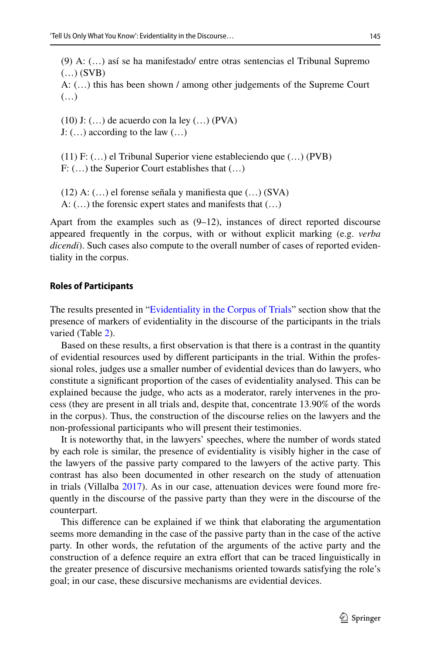(9) A: (…) así se ha manifestado/ entre otras sentencias el Tribunal Supremo  $(...)$  (SVB)

A: (…) this has been shown / among other judgements of the Supreme Court (…)

 $(10)$  J:  $(...)$  de acuerdo con la ley  $(...)$  (PVA) J:  $(...)$  according to the law  $(...)$ 

(11) F: (…) el Tribunal Superior viene estableciendo que (…) (PVB) F: (…) the Superior Court establishes that (…)

(12) A: (…) el forense señala y manifesta que (…) (SVA)

A: (…) the forensic expert states and manifests that (…)

Apart from the examples such as  $(9-12)$ , instances of direct reported discourse appeared frequently in the corpus, with or without explicit marking (e.g. *verba dicendi*). Such cases also compute to the overall number of cases of reported evidentiality in the corpus.

### **Roles of Participants**

The results presented in "[Evidentiality in the Corpus of Trials"](#page-8-1) section show that the presence of markers of evidentiality in the discourse of the participants in the trials varied (Table [2\)](#page-13-0).

Based on these results, a frst observation is that there is a contrast in the quantity of evidential resources used by diferent participants in the trial. Within the professional roles, judges use a smaller number of evidential devices than do lawyers, who constitute a signifcant proportion of the cases of evidentiality analysed. This can be explained because the judge, who acts as a moderator, rarely intervenes in the process (they are present in all trials and, despite that, concentrate 13.90% of the words in the corpus). Thus, the construction of the discourse relies on the lawyers and the non-professional participants who will present their testimonies.

It is noteworthy that, in the lawyers' speeches, where the number of words stated by each role is similar, the presence of evidentiality is visibly higher in the case of the lawyers of the passive party compared to the lawyers of the active party. This contrast has also been documented in other research on the study of attenuation in trials (Villalba [2017\)](#page-20-7). As in our case, attenuation devices were found more frequently in the discourse of the passive party than they were in the discourse of the counterpart.

This diference can be explained if we think that elaborating the argumentation seems more demanding in the case of the passive party than in the case of the active party. In other words, the refutation of the arguments of the active party and the construction of a defence require an extra efort that can be traced linguistically in the greater presence of discursive mechanisms oriented towards satisfying the role's goal; in our case, these discursive mechanisms are evidential devices.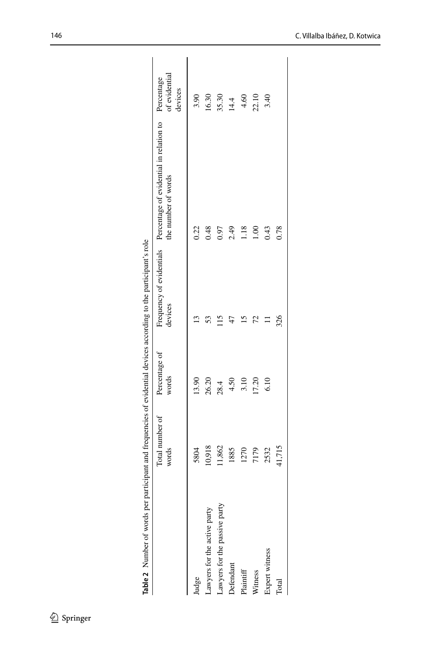<span id="page-13-0"></span>

| Table 2 Number of words per participant and frequencies of evidential devices according to the participant's role |                          |                        |         |                                                                                                    |                          |
|-------------------------------------------------------------------------------------------------------------------|--------------------------|------------------------|---------|----------------------------------------------------------------------------------------------------|--------------------------|
|                                                                                                                   | Total number of<br>words | Percentage of<br>words | devices | Frequency of evidentials Percentage of evidential in relation to Percentage<br>the number of words | of evidential<br>devices |
| Judge                                                                                                             | 5804                     | 13.90                  |         | 0.22                                                                                               | 3.90                     |
| Lawyers for the active party                                                                                      | 10,918                   | 26.20                  |         | 0.48                                                                                               | 16.30                    |
| Lawyers for the passive party                                                                                     | 11,862                   | 28.4                   |         | 0.97                                                                                               | 35.30                    |
| <b>Defendant</b>                                                                                                  | 1885                     | 4.50                   |         | 2.49                                                                                               | 14.4                     |
| Plaintiff                                                                                                         | 1270                     | 3.10                   |         | 1.18                                                                                               | 4,60                     |
| Witness                                                                                                           | 7179                     | 17.20                  | 72      | $\frac{8}{10}$                                                                                     | 22.10                    |
| Expert witness                                                                                                    | 2532                     | 6.10                   |         | 0.43                                                                                               | 3.40                     |
| Total                                                                                                             | 41,715                   |                        | 326     | 0.78                                                                                               |                          |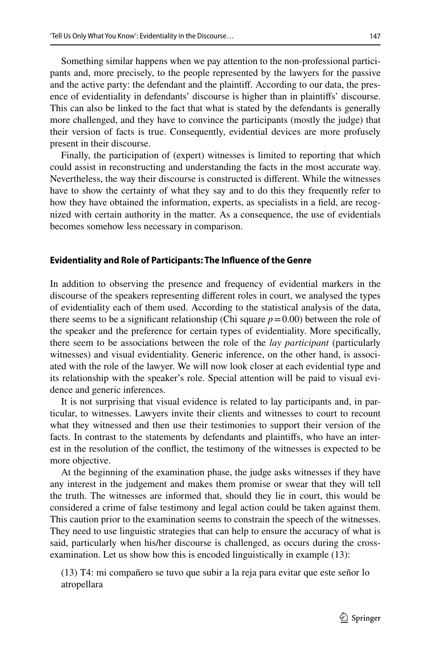Something similar happens when we pay attention to the non-professional participants and, more precisely, to the people represented by the lawyers for the passive and the active party: the defendant and the plaintif. According to our data, the presence of evidentiality in defendants' discourse is higher than in plaintifs' discourse. This can also be linked to the fact that what is stated by the defendants is generally more challenged, and they have to convince the participants (mostly the judge) that their version of facts is true. Consequently, evidential devices are more profusely present in their discourse.

Finally, the participation of (expert) witnesses is limited to reporting that which could assist in reconstructing and understanding the facts in the most accurate way. Nevertheless, the way their discourse is constructed is diferent. While the witnesses have to show the certainty of what they say and to do this they frequently refer to how they have obtained the information, experts, as specialists in a feld, are recognized with certain authority in the matter. As a consequence, the use of evidentials becomes somehow less necessary in comparison.

#### <span id="page-14-0"></span>**Evidentiality and Role of Participants: The Infuence of the Genre**

In addition to observing the presence and frequency of evidential markers in the discourse of the speakers representing diferent roles in court, we analysed the types of evidentiality each of them used. According to the statistical analysis of the data, there seems to be a significant relationship (Chi square  $p=0.00$ ) between the role of the speaker and the preference for certain types of evidentiality. More specifcally, there seem to be associations between the role of the *lay participant* (particularly witnesses) and visual evidentiality. Generic inference, on the other hand, is associated with the role of the lawyer. We will now look closer at each evidential type and its relationship with the speaker's role. Special attention will be paid to visual evidence and generic inferences.

It is not surprising that visual evidence is related to lay participants and, in particular, to witnesses. Lawyers invite their clients and witnesses to court to recount what they witnessed and then use their testimonies to support their version of the facts. In contrast to the statements by defendants and plaintifs, who have an interest in the resolution of the confict, the testimony of the witnesses is expected to be more objective.

At the beginning of the examination phase, the judge asks witnesses if they have any interest in the judgement and makes them promise or swear that they will tell the truth. The witnesses are informed that, should they lie in court, this would be considered a crime of false testimony and legal action could be taken against them. This caution prior to the examination seems to constrain the speech of the witnesses. They need to use linguistic strategies that can help to ensure the accuracy of what is said, particularly when his/her discourse is challenged, as occurs during the crossexamination. Let us show how this is encoded linguistically in example (13):

(13) T4: mi compañero se tuvo que subir a la reja para evitar que este señor lo atropellara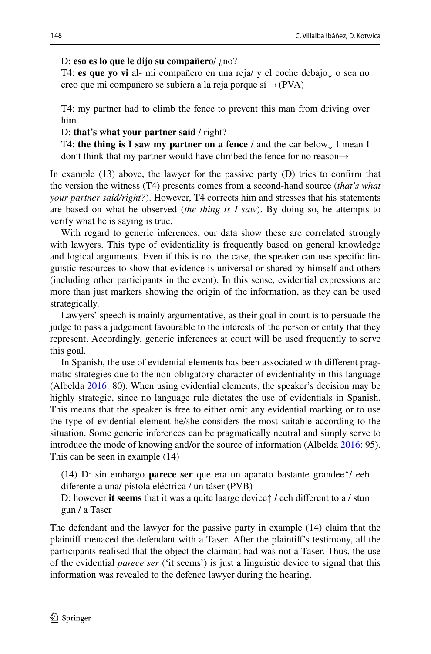### D: **eso es lo que le dijo su compañero**/ ¿no?

T4: **es que yo vi** al- mi compañero en una reja/ y el coche debajo↓ o sea no creo que mi compañero se subiera a la reja porque sí→(PVA)

T4: my partner had to climb the fence to prevent this man from driving over him

D: **that's what your partner said** / right?

T4: **the thing is I saw my partner on a fence** / and the car below↓ I mean I don't think that my partner would have climbed the fence for no reason→

In example (13) above, the lawyer for the passive party (D) tries to confrm that the version the witness (T4) presents comes from a second-hand source (*that's what your partner said/right?*). However, T4 corrects him and stresses that his statements are based on what he observed (*the thing is I saw*). By doing so, he attempts to verify what he is saying is true.

With regard to generic inferences, our data show these are correlated strongly with lawyers. This type of evidentiality is frequently based on general knowledge and logical arguments. Even if this is not the case, the speaker can use specifc linguistic resources to show that evidence is universal or shared by himself and others (including other participants in the event). In this sense, evidential expressions are more than just markers showing the origin of the information, as they can be used strategically.

Lawyers' speech is mainly argumentative, as their goal in court is to persuade the judge to pass a judgement favourable to the interests of the person or entity that they represent. Accordingly, generic inferences at court will be used frequently to serve this goal.

In Spanish, the use of evidential elements has been associated with diferent pragmatic strategies due to the non-obligatory character of evidentiality in this language (Albelda [2016:](#page-19-5) 80). When using evidential elements, the speaker's decision may be highly strategic, since no language rule dictates the use of evidentials in Spanish. This means that the speaker is free to either omit any evidential marking or to use the type of evidential element he/she considers the most suitable according to the situation. Some generic inferences can be pragmatically neutral and simply serve to introduce the mode of knowing and/or the source of information (Albelda [2016](#page-19-5): 95). This can be seen in example (14)

(14) D: sin embargo **parece ser** que era un aparato bastante grandee↑/ eeh diferente a una/ pistola eléctrica / un táser (PVB)

D: however **it seems** that it was a quite laarge device↑ / eeh diferent to a / stun gun / a Taser

The defendant and the lawyer for the passive party in example (14) claim that the plaintif menaced the defendant with a Taser. After the plaintif's testimony, all the participants realised that the object the claimant had was not a Taser. Thus, the use of the evidential *parece ser* ('it seems') is just a linguistic device to signal that this information was revealed to the defence lawyer during the hearing.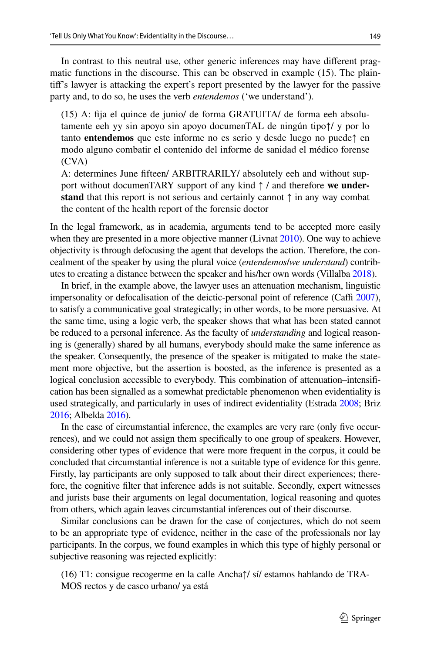In contrast to this neutral use, other generic inferences may have diferent pragmatic functions in the discourse. This can be observed in example (15). The plaintif's lawyer is attacking the expert's report presented by the lawyer for the passive party and, to do so, he uses the verb *entendemos* ('we understand').

(15) A: fja el quince de junio/ de forma GRATUITA/ de forma eeh absolutamente eeh yy sin apoyo sin apoyo documenTAL de ningún tipo↑/ y por lo tanto **entendemos** que este informe no es serio y desde luego no puede↑ en modo alguno combatir el contenido del informe de sanidad el médico forense (CVA)

A: determines June ffteen/ ARBITRARILY/ absolutely eeh and without support without documenTARY support of any kind ↑ / and therefore **we understand** that this report is not serious and certainly cannot ↑ in any way combat the content of the health report of the forensic doctor

In the legal framework, as in academia, arguments tend to be accepted more easily when they are presented in a more objective manner (Livnat [2010\)](#page-20-13). One way to achieve objectivity is through defocusing the agent that develops the action. Therefore, the concealment of the speaker by using the plural voice (*entendemos*/*we understand*) contributes to creating a distance between the speaker and his/her own words (Villalba [2018\)](#page-20-14).

In brief, in the example above, the lawyer uses an attenuation mechanism, linguistic impersonality or defocalisation of the deictic-personal point of reference (Caffi  $2007$ ), to satisfy a communicative goal strategically; in other words, to be more persuasive. At the same time, using a logic verb, the speaker shows that what has been stated cannot be reduced to a personal inference. As the faculty of *understanding* and logical reasoning is (generally) shared by all humans, everybody should make the same inference as the speaker. Consequently, the presence of the speaker is mitigated to make the statement more objective, but the assertion is boosted, as the inference is presented as a logical conclusion accessible to everybody. This combination of attenuation–intensifcation has been signalled as a somewhat predictable phenomenon when evidentiality is used strategically, and particularly in uses of indirect evidentiality (Estrada [2008;](#page-19-18) Briz [2016](#page-19-19); Albelda [2016\)](#page-19-5).

In the case of circumstantial inference, the examples are very rare (only fve occurrences), and we could not assign them specifcally to one group of speakers. However, considering other types of evidence that were more frequent in the corpus, it could be concluded that circumstantial inference is not a suitable type of evidence for this genre. Firstly, lay participants are only supposed to talk about their direct experiences; therefore, the cognitive flter that inference adds is not suitable. Secondly, expert witnesses and jurists base their arguments on legal documentation, logical reasoning and quotes from others, which again leaves circumstantial inferences out of their discourse.

Similar conclusions can be drawn for the case of conjectures, which do not seem to be an appropriate type of evidence, neither in the case of the professionals nor lay participants. In the corpus, we found examples in which this type of highly personal or subjective reasoning was rejected explicitly:

(16) T1: consigue recogerme en la calle Ancha↑/ sí/ estamos hablando de TRA-MOS rectos y de casco urbano/ ya está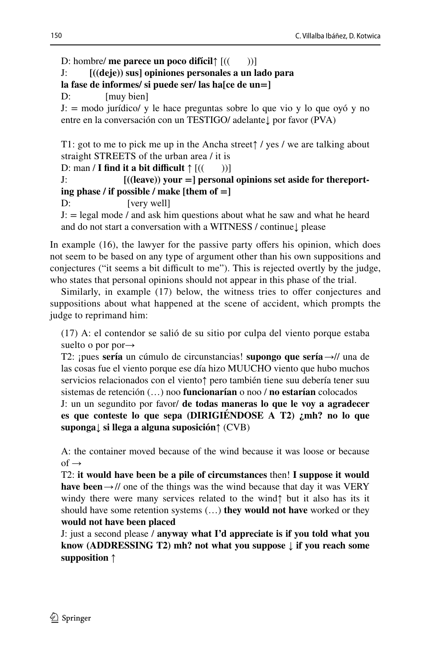D: hombre/ **me parece un poco difícil**↑ [(( ))] J: **[((deje)) sus] opiniones personales a un lado para la fase de informes/ si puede ser/ las ha[ce de un=]** D: [muy bien] J: = modo jurídico/ y le hace preguntas sobre lo que vio y lo que oyó y no entre en la conversación con un TESTIGO/ adelante↓ por favor (PVA) T1: got to me to pick me up in the Ancha street↑ / yes / we are talking about straight STREETS of the urban area / it is D: man / **I find it a bit difficult**  $\uparrow$   $[((-))]$ J: **[((leave)) your =] personal opinions set aside for thereporting phase / if possible / make [them of =]** D: [very well]  $J:$  = legal mode / and ask him questions about what he saw and what he heard

and do not start a conversation with a WITNESS / continue↓ please

In example (16), the lawyer for the passive party ofers his opinion, which does not seem to be based on any type of argument other than his own suppositions and conjectures ("it seems a bit difficult to me"). This is rejected overtly by the judge, who states that personal opinions should not appear in this phase of the trial.

Similarly, in example (17) below, the witness tries to offer conjectures and suppositions about what happened at the scene of accident, which prompts the judge to reprimand him:

(17) A: el contendor se salió de su sitio por culpa del viento porque estaba suelto o por por $\rightarrow$ 

T2: ¡pues **sería** un cúmulo de circunstancias! **supongo que sería**→// una de las cosas fue el viento porque ese día hizo MUUCHO viento que hubo muchos servicios relacionados con el viento↑ pero también tiene suu debería tener suu sistemas de retención (…) noo **funcionarían** o noo / **no estarían** colocados

J: un un segundito por favor/ **de todas maneras lo que le voy a agradecer es que conteste lo que sepa (DIRIGIÉNDOSE A T2) ¿mh? no lo que suponga↓ si llega a alguna suposición↑** (CVB)

A: the container moved because of the wind because it was loose or because of  $\rightarrow$ 

T2: **it would have been be a pile of circumstances** then! **I suppose it would have been**  $\rightarrow$  // one of the things was the wind because that day it was VERY windy there were many services related to the wind↑ but it also has its it should have some retention systems (…) **they would not have** worked or they **would not have been placed**

J: just a second please / **anyway what I'd appreciate is if you told what you know (ADDRESSING T2) mh? not what you suppose ↓ if you reach some supposition** ↑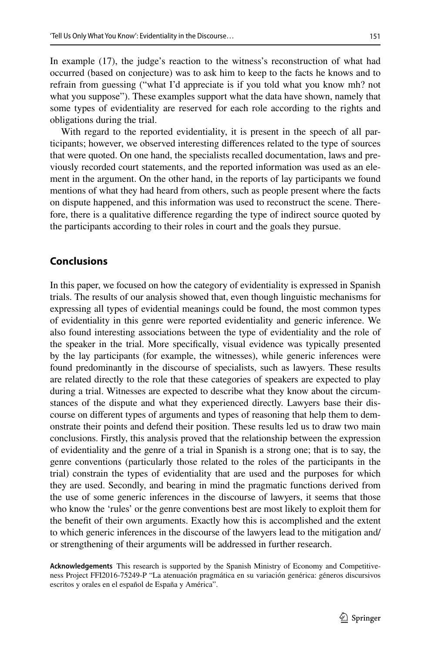In example (17), the judge's reaction to the witness's reconstruction of what had occurred (based on conjecture) was to ask him to keep to the facts he knows and to refrain from guessing ("what I'd appreciate is if you told what you know mh? not what you suppose"). These examples support what the data have shown, namely that some types of evidentiality are reserved for each role according to the rights and obligations during the trial.

With regard to the reported evidentiality, it is present in the speech of all participants; however, we observed interesting diferences related to the type of sources that were quoted. On one hand, the specialists recalled documentation, laws and previously recorded court statements, and the reported information was used as an element in the argument. On the other hand, in the reports of lay participants we found mentions of what they had heard from others, such as people present where the facts on dispute happened, and this information was used to reconstruct the scene. Therefore, there is a qualitative diference regarding the type of indirect source quoted by the participants according to their roles in court and the goals they pursue.

### **Conclusions**

In this paper, we focused on how the category of evidentiality is expressed in Spanish trials. The results of our analysis showed that, even though linguistic mechanisms for expressing all types of evidential meanings could be found, the most common types of evidentiality in this genre were reported evidentiality and generic inference. We also found interesting associations between the type of evidentiality and the role of the speaker in the trial. More specifcally, visual evidence was typically presented by the lay participants (for example, the witnesses), while generic inferences were found predominantly in the discourse of specialists, such as lawyers. These results are related directly to the role that these categories of speakers are expected to play during a trial. Witnesses are expected to describe what they know about the circumstances of the dispute and what they experienced directly. Lawyers base their discourse on diferent types of arguments and types of reasoning that help them to demonstrate their points and defend their position. These results led us to draw two main conclusions. Firstly, this analysis proved that the relationship between the expression of evidentiality and the genre of a trial in Spanish is a strong one; that is to say, the genre conventions (particularly those related to the roles of the participants in the trial) constrain the types of evidentiality that are used and the purposes for which they are used. Secondly, and bearing in mind the pragmatic functions derived from the use of some generic inferences in the discourse of lawyers, it seems that those who know the 'rules' or the genre conventions best are most likely to exploit them for the beneft of their own arguments. Exactly how this is accomplished and the extent to which generic inferences in the discourse of the lawyers lead to the mitigation and/ or strengthening of their arguments will be addressed in further research.

**Acknowledgements** This research is supported by the Spanish Ministry of Economy and Competitiveness Project FFI2016-75249-P "La atenuación pragmática en su variación genérica: géneros discursivos escritos y orales en el español de España y América".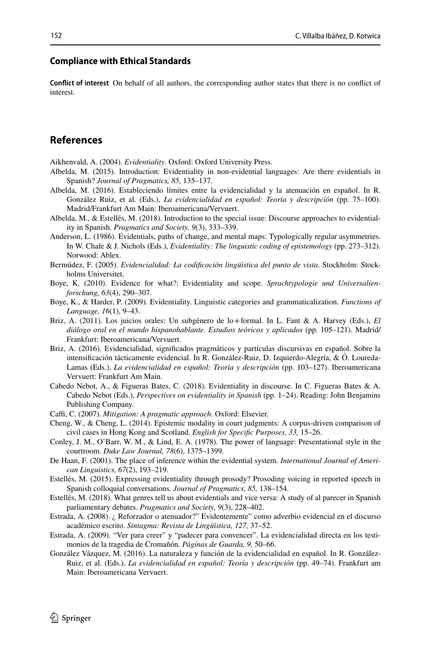### **Compliance with Ethical Standards**

**Confict of interest** On behalf of all authors, the corresponding author states that there is no confict of interest.

# **References**

- <span id="page-19-3"></span>Aikhenvald, A. (2004). *Evidentiality*. Oxford: Oxford University Press.
- <span id="page-19-4"></span>Albelda, M. (2015). Introduction: Evidentiality in non-evidential languages: Are there evidentials in Spanish? *Journal of Pragmatics, 85,* 135–137.
- <span id="page-19-5"></span>Albelda, M. (2016). Estableciendo límites entre la evidencialidad y la atenuación en español. In R. González Ruiz, et al. (Eds.), *La evidencialidad en español: Teoría y descripción* (pp. 75–100). Madrid/Frankfurt Am Main: Iberoamericana/Vervuert.
- <span id="page-19-6"></span>Albelda, M., & Estellés, M. (2018). Introduction to the special issue: Discourse approaches to evidentiality in Spanish. *Pragmatics and Society, 9*(3), 333–339.
- <span id="page-19-2"></span>Anderson, L. (1986). Evidentials, paths of change, and mental maps: Typologically regular asymmetries. In W. Chafe & J. Nichols (Eds.), *Evidentiality: The linguistic coding of epistemology* (pp. 273–312). Norwood: Ablex.
- <span id="page-19-13"></span>Bermúdez, F. (2005). *Evidencialidad: La codifcación lingüística del punto de vista*. Stockholm: Stockholms Universitet.
- <span id="page-19-9"></span>Boye, K. (2010). Evidence for what?: Evidentiality and scope. *Sprachtypologie und Universalienforschung, 63*(4), 290–307.
- <span id="page-19-10"></span>Boye, K., & Harder, P. (2009). Evidentiality. Linguistic categories and grammaticalization. *Functions of Language, 16*(1), 9–43.
- <span id="page-19-12"></span>Briz, A. (2011). Los juicios orales: Un subgénero de lo+formal. In L. Fant & A. Harvey (Eds.), *El diálogo oral en el mundo hispanohablante. Estudios teóricos y aplicados* (pp. 105–121). Madrid/ Frankfurt: Iberoamericana/Vervuert.
- <span id="page-19-19"></span>Briz, A. (2016). Evidencialidad, signifcados pragmáticos y partículas discursivas en español. Sobre la intensifcación tácticamente evidencial. In R. González-Ruiz, D. Izquierdo-Alegría, & Ó. Loureda-Lamas (Eds.), *La evidencialidad en español: Teoría y descripción* (pp. 103–127). Iberoamericana Vervuert: Frankfurt Am Main.
- <span id="page-19-8"></span>Cabedo Nebot, A., & Figueras Bates, C. (2018). Evidentiality in discourse. In C. Figueras Bates & A. Cabedo Nebot (Eds.), *Perspectives on evidentiality in Spanish* (pp. 1–24). Reading: John Benjamins Publishing Company.
- <span id="page-19-17"></span>Caffi, C. (2007). *Mitigation: A pragmatic approach*. Oxford: Elsevier.
- <span id="page-19-0"></span>Cheng, W., & Cheng, L. (2014). Epistemic modality in court judgments: A corpus-driven comparison of civil cases in Hong Kong and Scotland. *English for Specifc Purposes, 33,* 15–26.
- <span id="page-19-1"></span>Conley, J. M., O'Barr, W. M., & Lind, E. A. (1978). The power of language: Presentational style in the courtroom. *Duke Law Journal, 78*(6), 1375–1399.
- <span id="page-19-15"></span>De Haan, F. (2001). The place of inference within the evidential system. *International Journal of American Linguistics, 67*(2), 193–219.
- <span id="page-19-16"></span>Estellés, M. (2015). Expressing evidentiality through prosody? Prosoding voicing in reported speech in Spanish colloquial conversations. *Journal of Pragmatics, 85,* 138–154.
- <span id="page-19-11"></span>Estellés, M. (2018). What genres tell us about evidentials and vice versa: A study of al parecer in Spanish parliamentary debates. *Pragmatics and Society, 9*(3), 228–402.
- <span id="page-19-18"></span>Estrada, A. (2008). ¿ Reforzador o atenuador?" Evidentemente" como adverbio evidencial en el discurso académico escrito. *Sintagma: Revista de Lingüística, 127,* 37–52.
- <span id="page-19-14"></span>Estrada, A. (2009). "Ver para creer" y "padecer para convencer". La evidencialidad directa en los testimonios de la tragedia de Cromañón. *Páginas de Guarda, 9,* 50–66.
- <span id="page-19-7"></span>González Vázquez, M. (2016). La naturaleza y función de la evidencialidad en español. In R. González-Ruiz, et al. (Eds.), *La evidencialidad en español: Teoría y descripción* (pp. 49–74). Frankfurt am Main: Iberoamericana Vervuert.